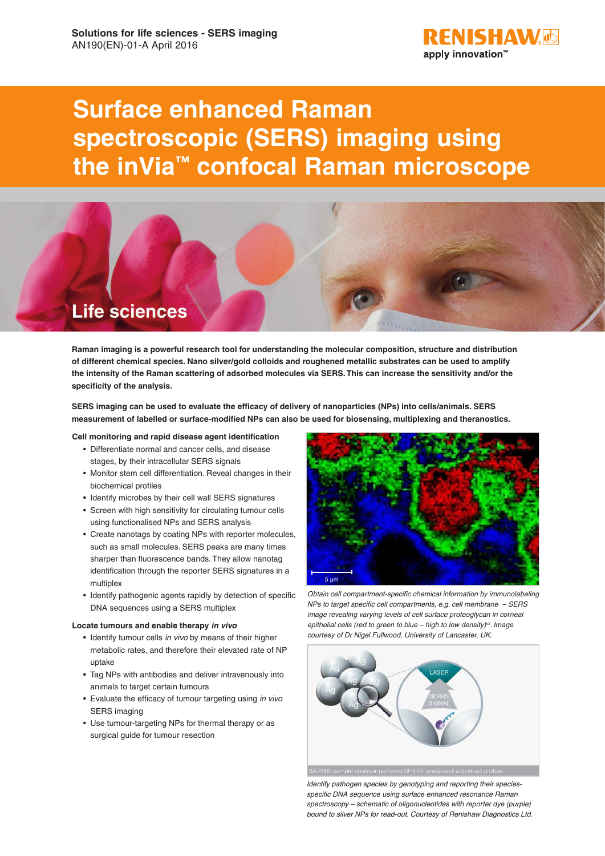

# **Surface enhanced Raman spectroscopic (SERS) imaging using the inVia™ confocal Raman microscope**



**Raman imaging is a powerful research tool for understanding the molecular composition, structure and distribution of different chemical species. Nano silver/gold colloids and roughened metallic substrates can be used to amplify the intensity of the Raman scattering of adsorbed molecules via SERS. This can increase the sensitivity and/or the specificity of the analysis.** 

**SERS imaging can be used to evaluate the efficacy of delivery of nanoparticles (NPs) into cells/animals. SERS measurement of labelled or surface-modified NPs can also be used for biosensing, multiplexing and theranostics.**

## **Cell monitoring and rapid disease agent identification**

- Differentiate normal and cancer cells, and disease stages, by their intracellular SERS signals
- Monitor stem cell differentiation. Reveal changes in their biochemical profiles
- Identify microbes by their cell wall SERS signatures
- Screen with high sensitivity for circulating tumour cells using functionalised NPs and SERS analysis
- Create nanotags by coating NPs with reporter molecules, such as small molecules. SERS peaks are many times sharper than fluorescence bands. They allow nanotag identification through the reporter SERS signatures in a multiplex
- Identify pathogenic agents rapidly by detection of specific DNA sequences using a SERS multiplex

## **Locate tumours and enable therapy** *in vivo*

- Identify tumour cells *in vivo* by means of their higher metabolic rates, and therefore their elevated rate of NP uptake
- Tag NPs with antibodies and deliver intravenously into animals to target certain tumours
- Evaluate the efficacy of tumour targeting using *in vivo* SERS imaging
- Use tumour-targeting NPs for thermal therapy or as surgical guide for tumour resection



*Obtain cell compartment-specific chemical information by immunolabeling NPs to target specific cell compartments, e.g. cell membrane – SERS image revealing varying levels of cell surface proteoglycan in corneal epithelial cells (red to green to blue – high to low density)vii. Image courtesy of Dr Nigel Fullwood, University of Lancaster, UK.*



*Identify pathogen species by genotyping and reporting their speciesspecific DNA sequence using surface enhanced resonance Raman spectroscopy – schematic of oligonucleotides with reporter dye (purple) bound to silver NPs for read-out. Courtesy of Renishaw Diagnostics Ltd.*